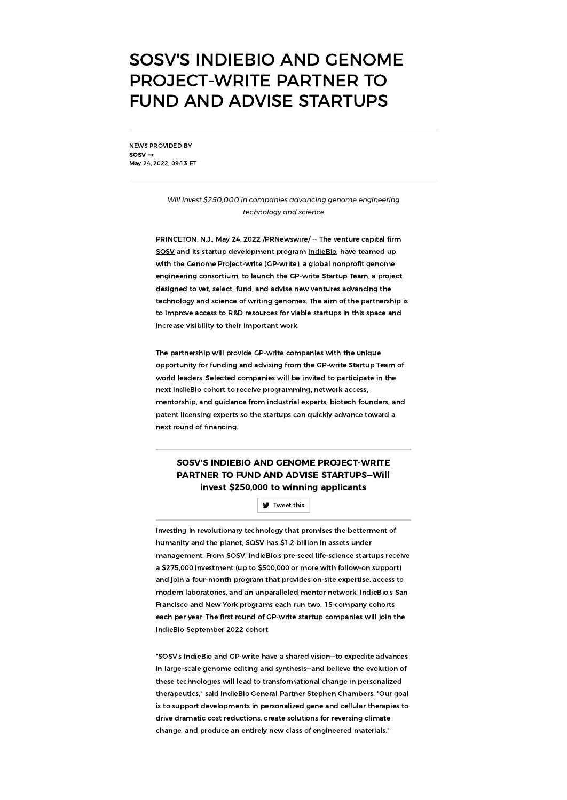# SOSV'S INDIEBIO AND GENOME PROJECT-WRITE PARTNER TO FUND AND ADVISE STARTUPS

NEWS PROVIDED BY  $s$ osv $\rightarrow$ May 24, 2022, 09:13 ET

> *Will invest \$250,000 in companies advancing genome engineering technology and science*

PRINCETON, N.J., May 24, 2022 /PRNewswire/ -- The venture capital firm [SOSV](https://c212.net/c/link/?t=0&l=en&o=3545504-1&h=422488164&u=http%3A%2F%2Fsosv.com%2F&a=SOSV) and its startup development program [IndieBio,](https://c212.net/c/link/?t=0&l=en&o=3545504-1&h=4204857175&u=http%3A%2F%2Findiebio.co%2F&a=IndieBio) have teamed up with the Cenome [Project-write](https://c212.net/c/link/?t=0&l=en&o=3545504-1&h=1250998855&u=https%3A%2F%2Fengineeringbiologycenter.org%2F&a=Genome+Project-write+(GP-write)) (CP-write), a global nonprofit genome engineering consortium, to launch the GP-write Startup Team, a project designed to vet, select, fund, and advise new ventures advancing the technology and science of writing genomes. The aim of the partnership is to improve access to R&D resources for viable startups in this space and increase visibility to their important work.

The partnership will provide GP-write companies with the unique opportunity for funding and advising from the GP-write Startup Team of world leaders. Selected companies will be invited to participate in the next IndieBio cohort to receive programming, network access, mentorship, and guidance from industrial experts, biotech founders, and patent licensing experts so the startups can quickly advance toward a next round of financing.

## SOSV'S INDIEBIO AND GENOME PROJECT-WRITE PARTNER TO FUND AND ADVISE STARTUPS—Will invest \$250,000 to winning applicants

[Tweet](javascript:void(0)) this

Investing in revolutionary technology that promises the betterment of humanity and the planet, SOSV has \$1.2 billion in assets under management. From SOSV, IndieBio's pre-seed life-science startups receive a \$275,000 investment (up to \$500,000 or more with follow-on support) and join a four-month program that provides on-site expertise, access to modern laboratories, and an unparalleled mentor network. IndieBio's San Francisco and New York programs each run two, 15-company cohorts each per year. The first round of GP-write startup companies will join the IndieBio September 2022 cohort.

"SOSV's IndieBio and GP-write have a shared vision—to expedite advances in large-scale genome editing and synthesis—and believe the evolution of these technologies will lead to transformational change in personalized therapeutics," said IndieBio General Partner Stephen Chambers. "Our goal is to support developments in personalized gene and cellular therapies to drive dramatic cost reductions, create solutions for reversing climate change, and produce an entirely new class of engineered materials."